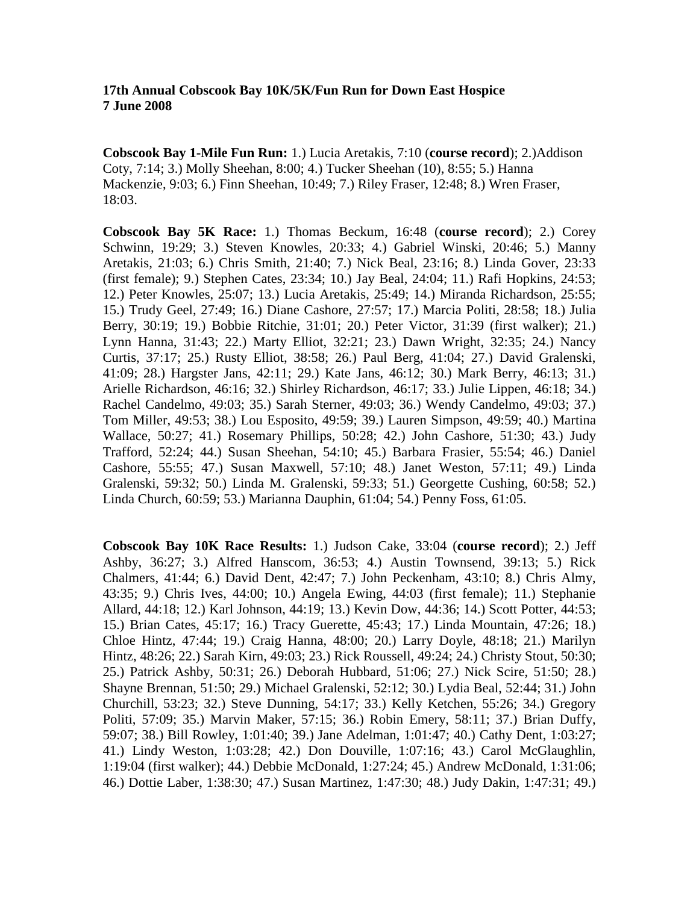## **17th Annual Cobscook Bay 10K/5K/Fun Run for Down East Hospice 7 June 2008**

**Cobscook Bay 1-Mile Fun Run:** 1.) Lucia Aretakis, 7:10 (**course record**); 2.)Addison Coty, 7:14; 3.) Molly Sheehan, 8:00; 4.) Tucker Sheehan (10), 8:55; 5.) Hanna Mackenzie, 9:03; 6.) Finn Sheehan, 10:49; 7.) Riley Fraser, 12:48; 8.) Wren Fraser, 18:03.

**Cobscook Bay 5K Race:** 1.) Thomas Beckum, 16:48 (**course record**); 2.) Corey Schwinn, 19:29; 3.) Steven Knowles, 20:33; 4.) Gabriel Winski, 20:46; 5.) Manny Aretakis, 21:03; 6.) Chris Smith, 21:40; 7.) Nick Beal, 23:16; 8.) Linda Gover, 23:33 (first female); 9.) Stephen Cates, 23:34; 10.) Jay Beal, 24:04; 11.) Rafi Hopkins, 24:53; 12.) Peter Knowles, 25:07; 13.) Lucia Aretakis, 25:49; 14.) Miranda Richardson, 25:55; 15.) Trudy Geel, 27:49; 16.) Diane Cashore, 27:57; 17.) Marcia Politi, 28:58; 18.) Julia Berry, 30:19; 19.) Bobbie Ritchie, 31:01; 20.) Peter Victor, 31:39 (first walker); 21.) Lynn Hanna, 31:43; 22.) Marty Elliot, 32:21; 23.) Dawn Wright, 32:35; 24.) Nancy Curtis, 37:17; 25.) Rusty Elliot, 38:58; 26.) Paul Berg, 41:04; 27.) David Gralenski, 41:09; 28.) Hargster Jans, 42:11; 29.) Kate Jans, 46:12; 30.) Mark Berry, 46:13; 31.) Arielle Richardson, 46:16; 32.) Shirley Richardson, 46:17; 33.) Julie Lippen, 46:18; 34.) Rachel Candelmo, 49:03; 35.) Sarah Sterner, 49:03; 36.) Wendy Candelmo, 49:03; 37.) Tom Miller, 49:53; 38.) Lou Esposito, 49:59; 39.) Lauren Simpson, 49:59; 40.) Martina Wallace, 50:27; 41.) Rosemary Phillips, 50:28; 42.) John Cashore, 51:30; 43.) Judy Trafford, 52:24; 44.) Susan Sheehan, 54:10; 45.) Barbara Frasier, 55:54; 46.) Daniel Cashore, 55:55; 47.) Susan Maxwell, 57:10; 48.) Janet Weston, 57:11; 49.) Linda Gralenski, 59:32; 50.) Linda M. Gralenski, 59:33; 51.) Georgette Cushing, 60:58; 52.) Linda Church, 60:59; 53.) Marianna Dauphin, 61:04; 54.) Penny Foss, 61:05.

**Cobscook Bay 10K Race Results:** 1.) Judson Cake, 33:04 (**course record**); 2.) Jeff Ashby, 36:27; 3.) Alfred Hanscom, 36:53; 4.) Austin Townsend, 39:13; 5.) Rick Chalmers, 41:44; 6.) David Dent, 42:47; 7.) John Peckenham, 43:10; 8.) Chris Almy, 43:35; 9.) Chris Ives, 44:00; 10.) Angela Ewing, 44:03 (first female); 11.) Stephanie Allard, 44:18; 12.) Karl Johnson, 44:19; 13.) Kevin Dow, 44:36; 14.) Scott Potter, 44:53; 15.) Brian Cates, 45:17; 16.) Tracy Guerette, 45:43; 17.) Linda Mountain, 47:26; 18.) Chloe Hintz, 47:44; 19.) Craig Hanna, 48:00; 20.) Larry Doyle, 48:18; 21.) Marilyn Hintz, 48:26; 22.) Sarah Kirn, 49:03; 23.) Rick Roussell, 49:24; 24.) Christy Stout, 50:30; 25.) Patrick Ashby, 50:31; 26.) Deborah Hubbard, 51:06; 27.) Nick Scire, 51:50; 28.) Shayne Brennan, 51:50; 29.) Michael Gralenski, 52:12; 30.) Lydia Beal, 52:44; 31.) John Churchill, 53:23; 32.) Steve Dunning, 54:17; 33.) Kelly Ketchen, 55:26; 34.) Gregory Politi, 57:09; 35.) Marvin Maker, 57:15; 36.) Robin Emery, 58:11; 37.) Brian Duffy, 59:07; 38.) Bill Rowley, 1:01:40; 39.) Jane Adelman, 1:01:47; 40.) Cathy Dent, 1:03:27; 41.) Lindy Weston, 1:03:28; 42.) Don Douville, 1:07:16; 43.) Carol McGlaughlin, 1:19:04 (first walker); 44.) Debbie McDonald, 1:27:24; 45.) Andrew McDonald, 1:31:06; 46.) Dottie Laber, 1:38:30; 47.) Susan Martinez, 1:47:30; 48.) Judy Dakin, 1:47:31; 49.)